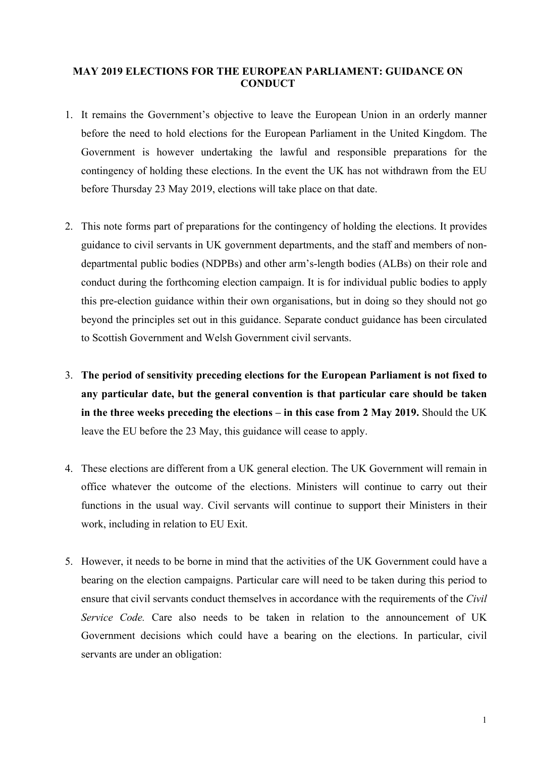## **MAY 2019 ELECTIONS FOR THE EUROPEAN PARLIAMENT: GUIDANCE ON CONDUCT**

- 1. It remains the Government's objective to leave the European Union in an orderly manner before the need to hold elections for the European Parliament in the United Kingdom. The Government is however undertaking the lawful and responsible preparations for the contingency of holding these elections. In the event the UK has not withdrawn from the EU before Thursday 23 May 2019, elections will take place on that date.
- 2. This note forms part of preparations for the contingency of holding the elections. It provides guidance to civil servants in UK government departments, and the staff and members of nondepartmental public bodies (NDPBs) and other arm's-length bodies (ALBs) on their role and conduct during the forthcoming election campaign. It is for individual public bodies to apply this pre-election guidance within their own organisations, but in doing so they should not go beyond the principles set out in this guidance. Separate conduct guidance has been circulated to Scottish Government and Welsh Government civil servants.
- 3. **The period of sensitivity preceding elections for the European Parliament is not fixed to any particular date, but the general convention is that particular care should be taken in the three weeks preceding the elections – in this case from 2 May 2019.** Should the UK leave the EU before the 23 May, this guidance will cease to apply.
- 4. These elections are different from a UK general election. The UK Government will remain in office whatever the outcome of the elections. Ministers will continue to carry out their functions in the usual way. Civil servants will continue to support their Ministers in their work, including in relation to EU Exit.
- 5. However, it needs to be borne in mind that the activities of the UK Government could have a bearing on the election campaigns. Particular care will need to be taken during this period to ensure that civil servants conduct themselves in accordance with the requirements of the *Civil Service Code.* Care also needs to be taken in relation to the announcement of UK Government decisions which could have a bearing on the elections. In particular, civil servants are under an obligation: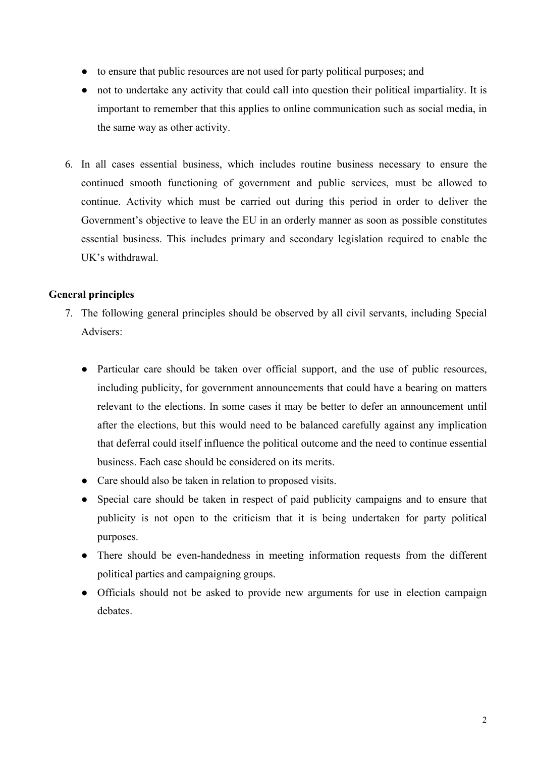- to ensure that public resources are not used for party political purposes; and
- not to undertake any activity that could call into question their political impartiality. It is important to remember that this applies to online communication such as social media, in the same way as other activity.
- 6. In all cases essential business, which includes routine business necessary to ensure the continued smooth functioning of government and public services, must be allowed to continue. Activity which must be carried out during this period in order to deliver the Government's objective to leave the EU in an orderly manner as soon as possible constitutes essential business. This includes primary and secondary legislation required to enable the UK's withdrawal.

## **General principles**

- 7. The following general principles should be observed by all civil servants, including Special Advisers:
	- Particular care should be taken over official support, and the use of public resources, including publicity, for government announcements that could have a bearing on matters relevant to the elections. In some cases it may be better to defer an announcement until after the elections, but this would need to be balanced carefully against any implication that deferral could itself influence the political outcome and the need to continue essential business. Each case should be considered on its merits.
	- Care should also be taken in relation to proposed visits.
	- Special care should be taken in respect of paid publicity campaigns and to ensure that publicity is not open to the criticism that it is being undertaken for party political purposes.
	- There should be even-handedness in meeting information requests from the different political parties and campaigning groups.
	- Officials should not be asked to provide new arguments for use in election campaign debates.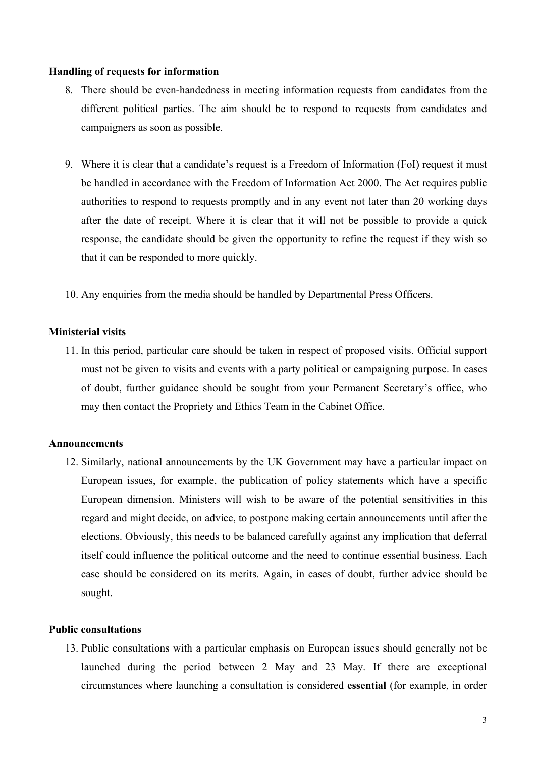### **Handling of requests for information**

- 8. There should be even-handedness in meeting information requests from candidates from the different political parties. The aim should be to respond to requests from candidates and campaigners as soon as possible.
- 9. Where it is clear that a candidate's request is a Freedom of Information (FoI) request it must be handled in accordance with the Freedom of Information Act 2000. The Act requires public authorities to respond to requests promptly and in any event not later than 20 working days after the date of receipt. Where it is clear that it will not be possible to provide a quick response, the candidate should be given the opportunity to refine the request if they wish so that it can be responded to more quickly.
- 10. Any enquiries from the media should be handled by Departmental Press Officers.

### **Ministerial visits**

11. In this period, particular care should be taken in respect of proposed visits. Official support must not be given to visits and events with a party political or campaigning purpose. In cases of doubt, further guidance should be sought from your Permanent Secretary's office, who may then contact the Propriety and Ethics Team in the Cabinet Office.

#### **Announcements**

12. Similarly, national announcements by the UK Government may have a particular impact on European issues, for example, the publication of policy statements which have a specific European dimension. Ministers will wish to be aware of the potential sensitivities in this regard and might decide, on advice, to postpone making certain announcements until after the elections. Obviously, this needs to be balanced carefully against any implication that deferral itself could influence the political outcome and the need to continue essential business. Each case should be considered on its merits. Again, in cases of doubt, further advice should be sought.

### **Public consultations**

13. Public consultations with a particular emphasis on European issues should generally not be launched during the period between 2 May and 23 May. If there are exceptional circumstances where launching a consultation is considered **essential** (for example, in order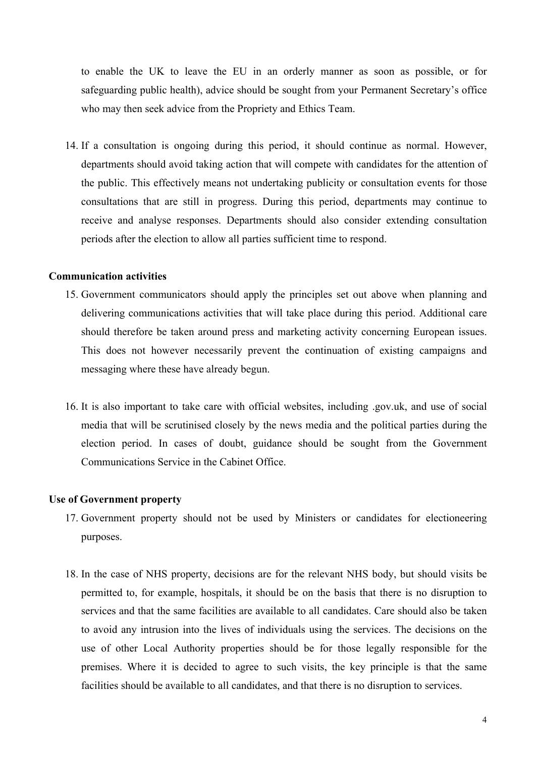to enable the UK to leave the EU in an orderly manner as soon as possible, or for safeguarding public health), advice should be sought from your Permanent Secretary's office who may then seek advice from the Propriety and Ethics Team.

14. If a consultation is ongoing during this period, it should continue as normal. However, departments should avoid taking action that will compete with candidates for the attention of the public. This effectively means not undertaking publicity or consultation events for those consultations that are still in progress. During this period, departments may continue to receive and analyse responses. Departments should also consider extending consultation periods after the election to allow all parties sufficient time to respond.

# **Communication activities**

- 15. Government communicators should apply the principles set out above when planning and delivering communications activities that will take place during this period. Additional care should therefore be taken around press and marketing activity concerning European issues. This does not however necessarily prevent the continuation of existing campaigns and messaging where these have already begun.
- 16. It is also important to take care with official websites, including .gov.uk, and use of social media that will be scrutinised closely by the news media and the political parties during the election period. In cases of doubt, guidance should be sought from the Government Communications Service in the Cabinet Office.

#### **Use of Government property**

- 17. Government property should not be used by Ministers or candidates for electioneering purposes.
- 18. In the case of NHS property, decisions are for the relevant NHS body, but should visits be permitted to, for example, hospitals, it should be on the basis that there is no disruption to services and that the same facilities are available to all candidates. Care should also be taken to avoid any intrusion into the lives of individuals using the services. The decisions on the use of other Local Authority properties should be for those legally responsible for the premises. Where it is decided to agree to such visits, the key principle is that the same facilities should be available to all candidates, and that there is no disruption to services.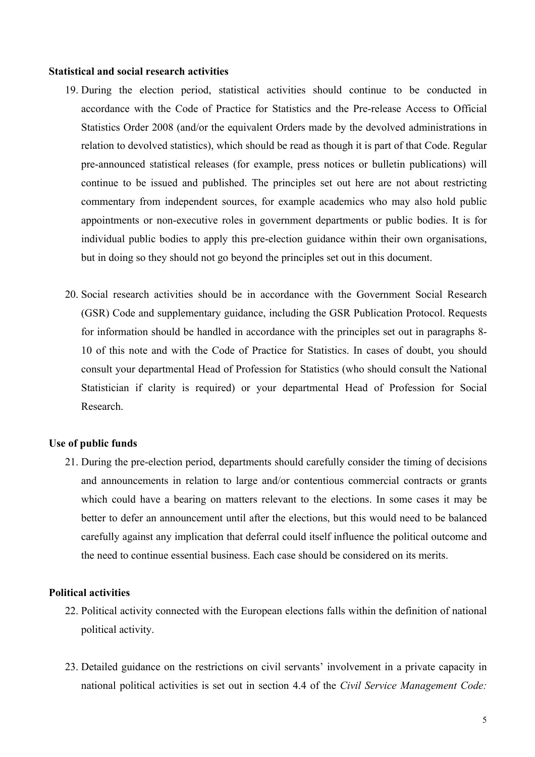#### **Statistical and social research activities**

- 19. During the election period, statistical activities should continue to be conducted in accordance with the Code of Practice for Statistics and the Pre-release Access to Official Statistics Order 2008 (and/or the equivalent Orders made by the devolved administrations in relation to devolved statistics), which should be read as though it is part of that Code. Regular pre-announced statistical releases (for example, press notices or bulletin publications) will continue to be issued and published. The principles set out here are not about restricting commentary from independent sources, for example academics who may also hold public appointments or non-executive roles in government departments or public bodies. It is for individual public bodies to apply this pre-election guidance within their own organisations, but in doing so they should not go beyond the principles set out in this document.
- 20. Social research activities should be in accordance with the Government Social Research (GSR) Code and supplementary guidance, including the GSR Publication Protocol. Requests for information should be handled in accordance with the principles set out in paragraphs 8- 10 of this note and with the Code of Practice for Statistics. In cases of doubt, you should consult your departmental Head of Profession for Statistics (who should consult the National Statistician if clarity is required) or your departmental Head of Profession for Social Research.

#### **Use of public funds**

21. During the pre-election period, departments should carefully consider the timing of decisions and announcements in relation to large and/or contentious commercial contracts or grants which could have a bearing on matters relevant to the elections. In some cases it may be better to defer an announcement until after the elections, but this would need to be balanced carefully against any implication that deferral could itself influence the political outcome and the need to continue essential business. Each case should be considered on its merits.

### **Political activities**

- 22. Political activity connected with the European elections falls within the definition of national political activity.
- 23. Detailed guidance on the restrictions on civil servants' involvement in a private capacity in national political activities is set out in section 4.4 of the *Civil Service Management Code:*